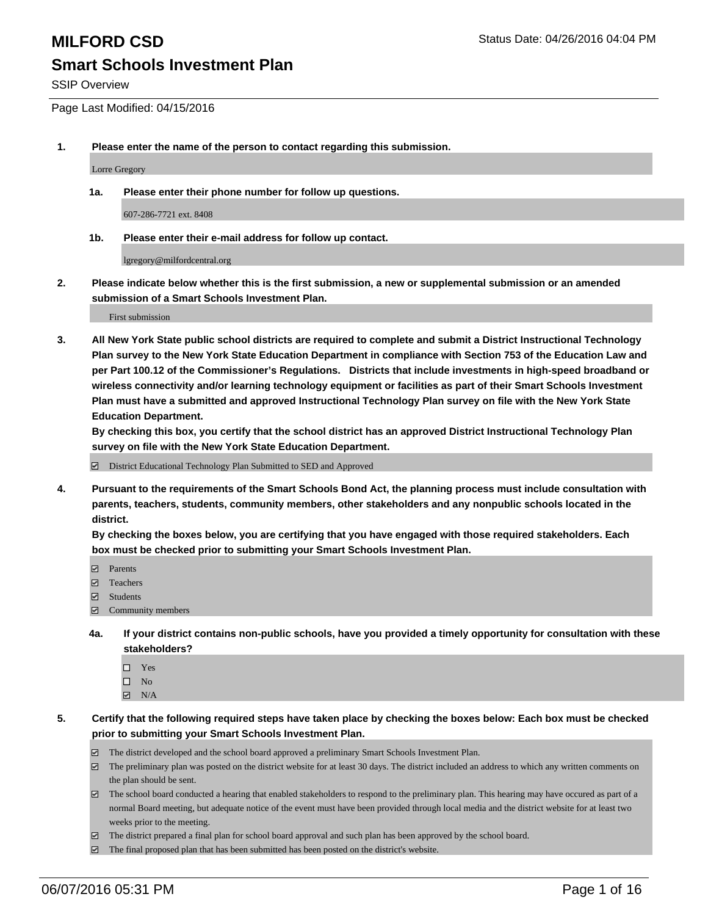SSIP Overview

Page Last Modified: 04/15/2016

**1. Please enter the name of the person to contact regarding this submission.**

Lorre Gregory

**1a. Please enter their phone number for follow up questions.**

607-286-7721 ext. 8408

**1b. Please enter their e-mail address for follow up contact.**

lgregory@milfordcentral.org

**2. Please indicate below whether this is the first submission, a new or supplemental submission or an amended submission of a Smart Schools Investment Plan.**

First submission

**3. All New York State public school districts are required to complete and submit a District Instructional Technology Plan survey to the New York State Education Department in compliance with Section 753 of the Education Law and per Part 100.12 of the Commissioner's Regulations. Districts that include investments in high-speed broadband or wireless connectivity and/or learning technology equipment or facilities as part of their Smart Schools Investment Plan must have a submitted and approved Instructional Technology Plan survey on file with the New York State Education Department.** 

**By checking this box, you certify that the school district has an approved District Instructional Technology Plan survey on file with the New York State Education Department.**

District Educational Technology Plan Submitted to SED and Approved

**4. Pursuant to the requirements of the Smart Schools Bond Act, the planning process must include consultation with parents, teachers, students, community members, other stakeholders and any nonpublic schools located in the district.** 

**By checking the boxes below, you are certifying that you have engaged with those required stakeholders. Each box must be checked prior to submitting your Smart Schools Investment Plan.**

- **Parents**
- Teachers
- Students
- Community members
- **4a. If your district contains non-public schools, have you provided a timely opportunity for consultation with these stakeholders?**
	- $\Box$  Yes  $\square$  No
	- $\boxtimes$  N/A
- **5. Certify that the following required steps have taken place by checking the boxes below: Each box must be checked prior to submitting your Smart Schools Investment Plan.**
	- The district developed and the school board approved a preliminary Smart Schools Investment Plan.
	- $\boxdot$  The preliminary plan was posted on the district website for at least 30 days. The district included an address to which any written comments on the plan should be sent.
	- $\Box$  The school board conducted a hearing that enabled stakeholders to respond to the preliminary plan. This hearing may have occured as part of a normal Board meeting, but adequate notice of the event must have been provided through local media and the district website for at least two weeks prior to the meeting.
	- The district prepared a final plan for school board approval and such plan has been approved by the school board.
	- $\boxdot$  The final proposed plan that has been submitted has been posted on the district's website.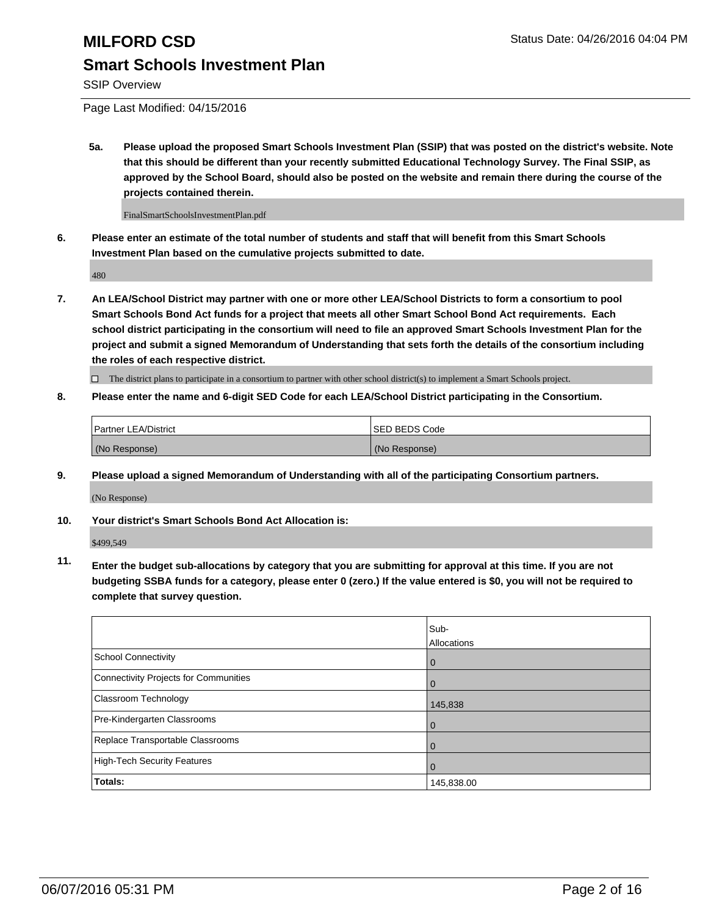SSIP Overview

Page Last Modified: 04/15/2016

**5a. Please upload the proposed Smart Schools Investment Plan (SSIP) that was posted on the district's website. Note that this should be different than your recently submitted Educational Technology Survey. The Final SSIP, as approved by the School Board, should also be posted on the website and remain there during the course of the projects contained therein.**

FinalSmartSchoolsInvestmentPlan.pdf

**6. Please enter an estimate of the total number of students and staff that will benefit from this Smart Schools Investment Plan based on the cumulative projects submitted to date.**

480

**7. An LEA/School District may partner with one or more other LEA/School Districts to form a consortium to pool Smart Schools Bond Act funds for a project that meets all other Smart School Bond Act requirements. Each school district participating in the consortium will need to file an approved Smart Schools Investment Plan for the project and submit a signed Memorandum of Understanding that sets forth the details of the consortium including the roles of each respective district.**

 $\Box$  The district plans to participate in a consortium to partner with other school district(s) to implement a Smart Schools project.

**8. Please enter the name and 6-digit SED Code for each LEA/School District participating in the Consortium.**

| <b>Partner LEA/District</b> | ISED BEDS Code |
|-----------------------------|----------------|
| (No Response)               | (No Response)  |

**9. Please upload a signed Memorandum of Understanding with all of the participating Consortium partners.**

(No Response)

**10. Your district's Smart Schools Bond Act Allocation is:**

\$499,549

**11. Enter the budget sub-allocations by category that you are submitting for approval at this time. If you are not budgeting SSBA funds for a category, please enter 0 (zero.) If the value entered is \$0, you will not be required to complete that survey question.**

|                                       | Sub-<br>Allocations |
|---------------------------------------|---------------------|
| School Connectivity                   | 0                   |
| Connectivity Projects for Communities |                     |
| <b>Classroom Technology</b>           | 145,838             |
| Pre-Kindergarten Classrooms           | 0                   |
| Replace Transportable Classrooms      | $\Omega$            |
| High-Tech Security Features           |                     |
| Totals:                               | 145,838.00          |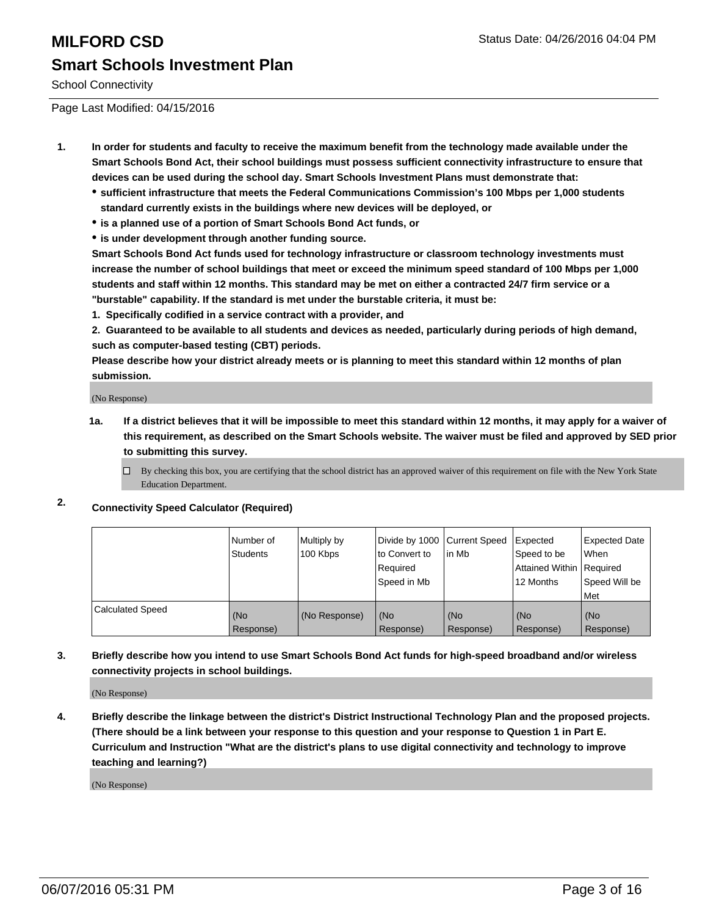## **MILFORD CSD Status Date: 04/26/2016 04:04 PM Smart Schools Investment Plan**

School Connectivity

Page Last Modified: 04/15/2016

- **1. In order for students and faculty to receive the maximum benefit from the technology made available under the Smart Schools Bond Act, their school buildings must possess sufficient connectivity infrastructure to ensure that devices can be used during the school day. Smart Schools Investment Plans must demonstrate that:**
	- **sufficient infrastructure that meets the Federal Communications Commission's 100 Mbps per 1,000 students standard currently exists in the buildings where new devices will be deployed, or**
	- **is a planned use of a portion of Smart Schools Bond Act funds, or**
	- **is under development through another funding source.**

**Smart Schools Bond Act funds used for technology infrastructure or classroom technology investments must increase the number of school buildings that meet or exceed the minimum speed standard of 100 Mbps per 1,000 students and staff within 12 months. This standard may be met on either a contracted 24/7 firm service or a "burstable" capability. If the standard is met under the burstable criteria, it must be:**

**1. Specifically codified in a service contract with a provider, and**

**2. Guaranteed to be available to all students and devices as needed, particularly during periods of high demand, such as computer-based testing (CBT) periods.**

**Please describe how your district already meets or is planning to meet this standard within 12 months of plan submission.**

(No Response)

- **1a. If a district believes that it will be impossible to meet this standard within 12 months, it may apply for a waiver of this requirement, as described on the Smart Schools website. The waiver must be filed and approved by SED prior to submitting this survey.**
	- $\Box$  By checking this box, you are certifying that the school district has an approved waiver of this requirement on file with the New York State Education Department.

## **2. Connectivity Speed Calculator (Required)**

|                         | Number of<br>Students | Multiply by<br>100 Kbps | Divide by 1000   Current Speed<br>to Convert to<br>Required<br>Speed in Mb | lin Mb           | Expected<br>Speed to be<br>Attained Within   Required<br>12 Months | <b>Expected Date</b><br><b>When</b><br>Speed Will be<br><b>Met</b> |
|-------------------------|-----------------------|-------------------------|----------------------------------------------------------------------------|------------------|--------------------------------------------------------------------|--------------------------------------------------------------------|
| <b>Calculated Speed</b> | l (No<br>Response)    | (No Response)           | (No<br>Response)                                                           | (No<br>Response) | (No<br>Response)                                                   | l (No<br>Response)                                                 |

**3. Briefly describe how you intend to use Smart Schools Bond Act funds for high-speed broadband and/or wireless connectivity projects in school buildings.**

(No Response)

**4. Briefly describe the linkage between the district's District Instructional Technology Plan and the proposed projects. (There should be a link between your response to this question and your response to Question 1 in Part E. Curriculum and Instruction "What are the district's plans to use digital connectivity and technology to improve teaching and learning?)**

(No Response)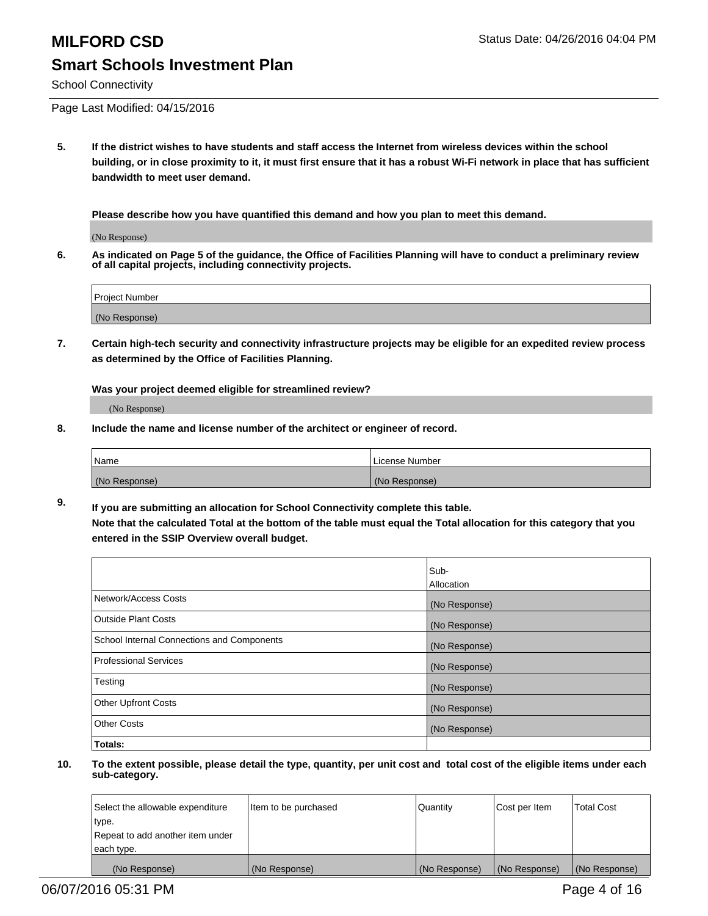School Connectivity

Page Last Modified: 04/15/2016

**5. If the district wishes to have students and staff access the Internet from wireless devices within the school building, or in close proximity to it, it must first ensure that it has a robust Wi-Fi network in place that has sufficient bandwidth to meet user demand.**

**Please describe how you have quantified this demand and how you plan to meet this demand.**

(No Response)

**6. As indicated on Page 5 of the guidance, the Office of Facilities Planning will have to conduct a preliminary review of all capital projects, including connectivity projects.**

| <b>Project Number</b> |  |
|-----------------------|--|
| (No Response)         |  |

**7. Certain high-tech security and connectivity infrastructure projects may be eligible for an expedited review process as determined by the Office of Facilities Planning.**

**Was your project deemed eligible for streamlined review?**

(No Response)

**8. Include the name and license number of the architect or engineer of record.**

| <b>Name</b>   | License Number |
|---------------|----------------|
| (No Response) | (No Response)  |

**9. If you are submitting an allocation for School Connectivity complete this table. Note that the calculated Total at the bottom of the table must equal the Total allocation for this category that you entered in the SSIP Overview overall budget.** 

|                                            | Sub-          |
|--------------------------------------------|---------------|
|                                            | Allocation    |
| Network/Access Costs                       | (No Response) |
| <b>Outside Plant Costs</b>                 | (No Response) |
| School Internal Connections and Components | (No Response) |
| Professional Services                      | (No Response) |
| Testing                                    | (No Response) |
| <b>Other Upfront Costs</b>                 | (No Response) |
| <b>Other Costs</b>                         | (No Response) |
| Totals:                                    |               |

| Select the allowable expenditure | Item to be purchased | l Quantitv    | Cost per Item | <b>Total Cost</b> |
|----------------------------------|----------------------|---------------|---------------|-------------------|
| type.                            |                      |               |               |                   |
| Repeat to add another item under |                      |               |               |                   |
| each type.                       |                      |               |               |                   |
| (No Response)                    | (No Response)        | (No Response) | (No Response) | (No Response)     |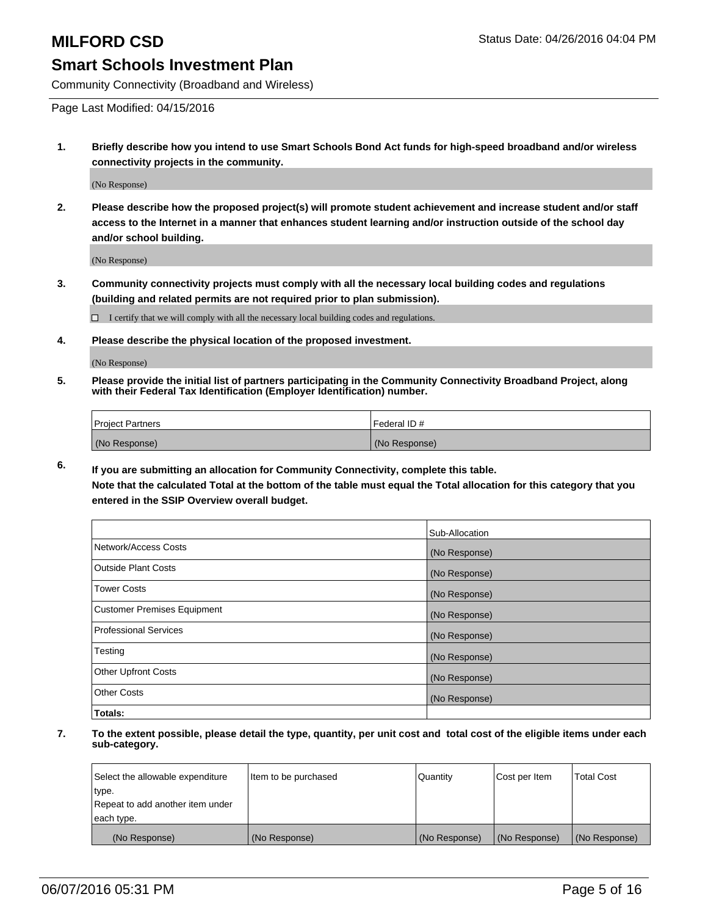Community Connectivity (Broadband and Wireless)

Page Last Modified: 04/15/2016

**1. Briefly describe how you intend to use Smart Schools Bond Act funds for high-speed broadband and/or wireless connectivity projects in the community.**

(No Response)

**2. Please describe how the proposed project(s) will promote student achievement and increase student and/or staff access to the Internet in a manner that enhances student learning and/or instruction outside of the school day and/or school building.**

(No Response)

**3. Community connectivity projects must comply with all the necessary local building codes and regulations (building and related permits are not required prior to plan submission).**

 $\Box$  I certify that we will comply with all the necessary local building codes and regulations.

**4. Please describe the physical location of the proposed investment.**

(No Response)

**5. Please provide the initial list of partners participating in the Community Connectivity Broadband Project, along with their Federal Tax Identification (Employer Identification) number.**

| Project Partners | Federal ID#   |
|------------------|---------------|
| (No Response)    | (No Response) |

**6. If you are submitting an allocation for Community Connectivity, complete this table.**

**Note that the calculated Total at the bottom of the table must equal the Total allocation for this category that you entered in the SSIP Overview overall budget.**

|                             | Sub-Allocation |
|-----------------------------|----------------|
| Network/Access Costs        | (No Response)  |
| Outside Plant Costs         | (No Response)  |
| <b>Tower Costs</b>          | (No Response)  |
| Customer Premises Equipment | (No Response)  |
| Professional Services       | (No Response)  |
| Testing                     | (No Response)  |
| Other Upfront Costs         | (No Response)  |
| Other Costs                 | (No Response)  |
| Totals:                     |                |

| Select the allowable expenditure | Item to be purchased | Quantity      | Cost per Item | <b>Total Cost</b> |
|----------------------------------|----------------------|---------------|---------------|-------------------|
| type.                            |                      |               |               |                   |
| Repeat to add another item under |                      |               |               |                   |
| each type.                       |                      |               |               |                   |
| (No Response)                    | (No Response)        | (No Response) | (No Response) | (No Response)     |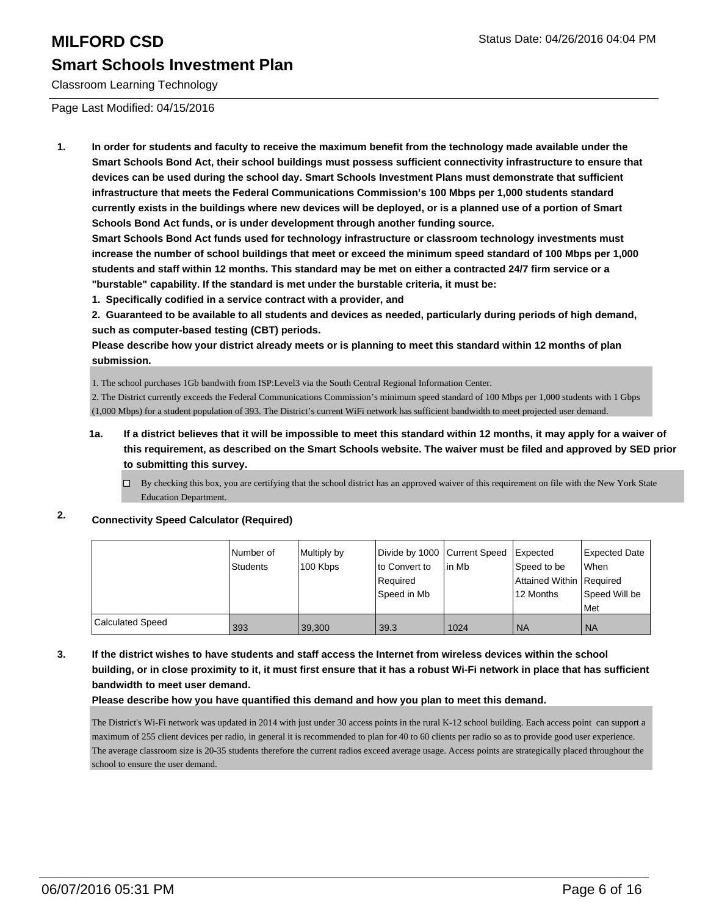Classroom Learning Technology

Page Last Modified: 04/15/2016

**1. In order for students and faculty to receive the maximum benefit from the technology made available under the Smart Schools Bond Act, their school buildings must possess sufficient connectivity infrastructure to ensure that devices can be used during the school day. Smart Schools Investment Plans must demonstrate that sufficient infrastructure that meets the Federal Communications Commission's 100 Mbps per 1,000 students standard currently exists in the buildings where new devices will be deployed, or is a planned use of a portion of Smart Schools Bond Act funds, or is under development through another funding source.**

**Smart Schools Bond Act funds used for technology infrastructure or classroom technology investments must increase the number of school buildings that meet or exceed the minimum speed standard of 100 Mbps per 1,000 students and staff within 12 months. This standard may be met on either a contracted 24/7 firm service or a "burstable" capability. If the standard is met under the burstable criteria, it must be:**

**1. Specifically codified in a service contract with a provider, and**

**2. Guaranteed to be available to all students and devices as needed, particularly during periods of high demand, such as computer-based testing (CBT) periods.**

**Please describe how your district already meets or is planning to meet this standard within 12 months of plan submission.**

1. The school purchases 1Gb bandwith from ISP:Level3 via the South Central Regional Information Center.

2. The District currently exceeds the Federal Communications Commission's minimum speed standard of 100 Mbps per 1,000 students with 1 Gbps (1,000 Mbps) for a student population of 393. The District's current WiFi network has sufficient bandwidth to meet projected user demand.

**1a. If a district believes that it will be impossible to meet this standard within 12 months, it may apply for a waiver of this requirement, as described on the Smart Schools website. The waiver must be filed and approved by SED prior to submitting this survey.**

 $\Box$  By checking this box, you are certifying that the school district has an approved waiver of this requirement on file with the New York State Education Department.

## **2. Connectivity Speed Calculator (Required)**

|                         | Number of       | Multiply by |                | Divide by 1000 Current Speed Expected |                          | Expected Date |
|-------------------------|-----------------|-------------|----------------|---------------------------------------|--------------------------|---------------|
|                         | <b>Students</b> | 100 Kbps    | lto Convert to | lin Mb                                | Speed to be              | l When        |
|                         |                 |             | Required       |                                       | Attained Within Required |               |
|                         |                 |             | Speed in Mb    |                                       | 12 Months                | Speed Will be |
|                         |                 |             |                |                                       |                          | <b>Met</b>    |
| <b>Calculated Speed</b> | 393             | 39,300      | 39.3           | 1024                                  | <b>NA</b>                | <b>NA</b>     |

**3. If the district wishes to have students and staff access the Internet from wireless devices within the school building, or in close proximity to it, it must first ensure that it has a robust Wi-Fi network in place that has sufficient bandwidth to meet user demand.**

### **Please describe how you have quantified this demand and how you plan to meet this demand.**

The District's Wi-Fi network was updated in 2014 with just under 30 access points in the rural K-12 school building. Each access point can support a maximum of 255 client devices per radio, in general it is recommended to plan for 40 to 60 clients per radio so as to provide good user experience. The average classroom size is 20-35 students therefore the current radios exceed average usage. Access points are strategically placed throughout the school to ensure the user demand.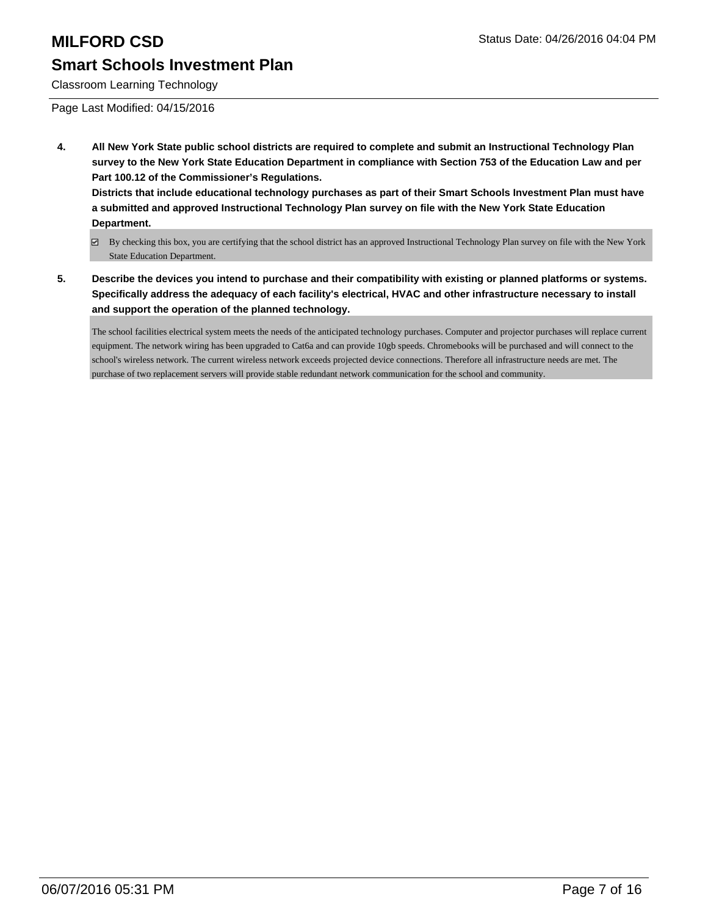Classroom Learning Technology

Page Last Modified: 04/15/2016

**4. All New York State public school districts are required to complete and submit an Instructional Technology Plan survey to the New York State Education Department in compliance with Section 753 of the Education Law and per Part 100.12 of the Commissioner's Regulations.**

**Districts that include educational technology purchases as part of their Smart Schools Investment Plan must have a submitted and approved Instructional Technology Plan survey on file with the New York State Education Department.**

- By checking this box, you are certifying that the school district has an approved Instructional Technology Plan survey on file with the New York State Education Department.
- **5. Describe the devices you intend to purchase and their compatibility with existing or planned platforms or systems. Specifically address the adequacy of each facility's electrical, HVAC and other infrastructure necessary to install and support the operation of the planned technology.**

The school facilities electrical system meets the needs of the anticipated technology purchases. Computer and projector purchases will replace current equipment. The network wiring has been upgraded to Cat6a and can provide 10gb speeds. Chromebooks will be purchased and will connect to the school's wireless network. The current wireless network exceeds projected device connections. Therefore all infrastructure needs are met. The purchase of two replacement servers will provide stable redundant network communication for the school and community.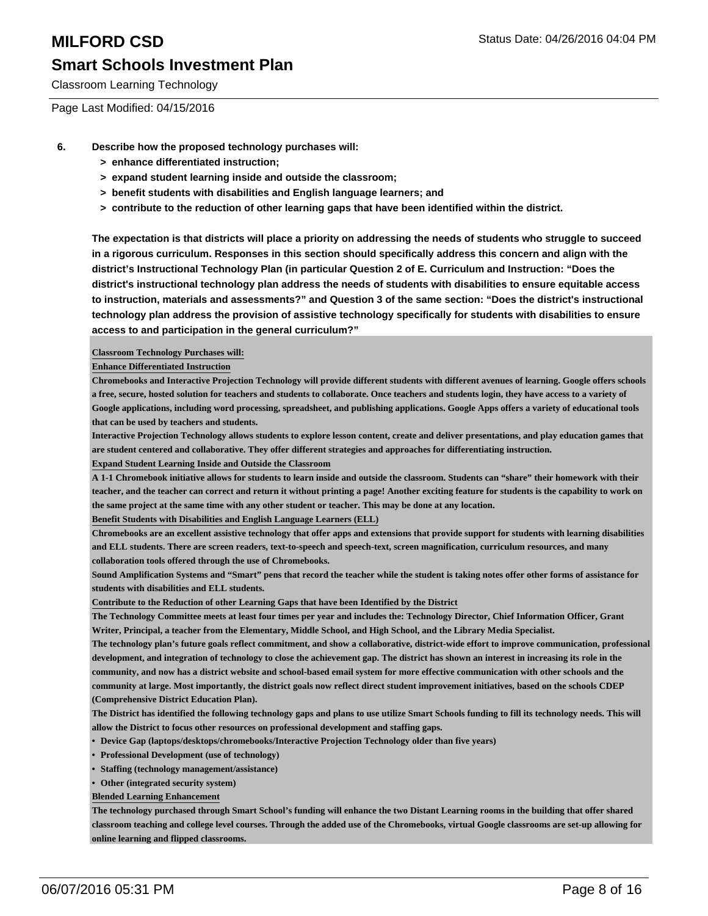Classroom Learning Technology

Page Last Modified: 04/15/2016

- **6. Describe how the proposed technology purchases will:**
	- **> enhance differentiated instruction;**
	- **> expand student learning inside and outside the classroom;**
	- **> benefit students with disabilities and English language learners; and**
	- **> contribute to the reduction of other learning gaps that have been identified within the district.**

**The expectation is that districts will place a priority on addressing the needs of students who struggle to succeed in a rigorous curriculum. Responses in this section should specifically address this concern and align with the district's Instructional Technology Plan (in particular Question 2 of E. Curriculum and Instruction: "Does the district's instructional technology plan address the needs of students with disabilities to ensure equitable access to instruction, materials and assessments?" and Question 3 of the same section: "Does the district's instructional technology plan address the provision of assistive technology specifically for students with disabilities to ensure access to and participation in the general curriculum?"**

**Classroom Technology Purchases will:**

**Enhance Differentiated Instruction**

**Chromebooks and Interactive Projection Technology will provide different students with different avenues of learning. Google offers schools a free, secure, hosted solution for teachers and students to collaborate. Once teachers and students login, they have access to a variety of Google applications, including word processing, spreadsheet, and publishing applications. Google Apps offers a variety of educational tools that can be used by teachers and students.**

**Interactive Projection Technology allows students to explore lesson content, create and deliver presentations, and play education games that are student centered and collaborative. They offer different strategies and approaches for differentiating instruction.**

**Expand Student Learning Inside and Outside the Classroom**

**A 1-1 Chromebook initiative allows for students to learn inside and outside the classroom. Students can "share" their homework with their teacher, and the teacher can correct and return it without printing a page! Another exciting feature for students is the capability to work on the same project at the same time with any other student or teacher. This may be done at any location.**

**Benefit Students with Disabilities and English Language Learners (ELL)**

**Chromebooks are an excellent assistive technology that offer apps and extensions that provide support for students with learning disabilities and ELL students. There are screen readers, text-to-speech and speech-text, screen magnification, curriculum resources, and many collaboration tools offered through the use of Chromebooks.**

**Sound Amplification Systems and "Smart" pens that record the teacher while the student is taking notes offer other forms of assistance for students with disabilities and ELL students.**

**Contribute to the Reduction of other Learning Gaps that have been Identified by the District**

**The Technology Committee meets at least four times per year and includes the: Technology Director, Chief Information Officer, Grant Writer, Principal, a teacher from the Elementary, Middle School, and High School, and the Library Media Specialist.**

**The technology plan's future goals reflect commitment, and show a collaborative, district-wide effort to improve communication, professional development, and integration of technology to close the achievement gap. The district has shown an interest in increasing its role in the community, and now has a district website and school-based email system for more effective communication with other schools and the community at large. Most importantly, the district goals now reflect direct student improvement initiatives, based on the schools CDEP (Comprehensive District Education Plan).**

**The District has identified the following technology gaps and plans to use utilize Smart Schools funding to fill its technology needs. This will allow the District to focus other resources on professional development and staffing gaps.**

- **• Device Gap (laptops/desktops/chromebooks/Interactive Projection Technology older than five years)**
- **• Professional Development (use of technology)**
- **• Staffing (technology management/assistance)**
- **• Other (integrated security system)**

**Blended Learning Enhancement**

**The technology purchased through Smart School's funding will enhance the two Distant Learning rooms in the building that offer shared classroom teaching and college level courses. Through the added use of the Chromebooks, virtual Google classrooms are set-up allowing for online learning and flipped classrooms.**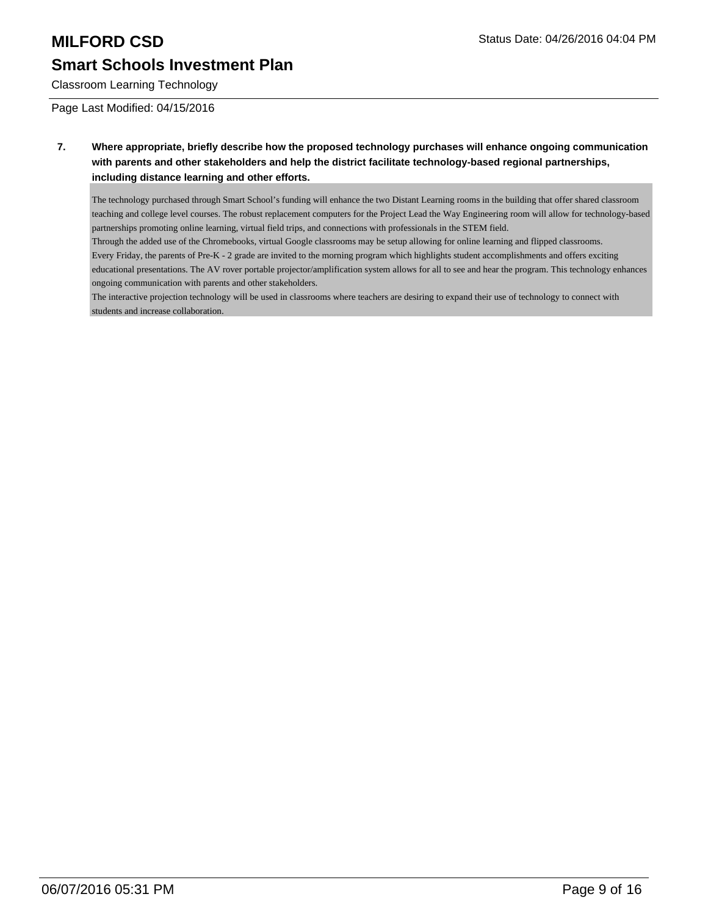Classroom Learning Technology

Page Last Modified: 04/15/2016

**7. Where appropriate, briefly describe how the proposed technology purchases will enhance ongoing communication with parents and other stakeholders and help the district facilitate technology-based regional partnerships, including distance learning and other efforts.**

The technology purchased through Smart School's funding will enhance the two Distant Learning rooms in the building that offer shared classroom teaching and college level courses. The robust replacement computers for the Project Lead the Way Engineering room will allow for technology-based partnerships promoting online learning, virtual field trips, and connections with professionals in the STEM field.

Through the added use of the Chromebooks, virtual Google classrooms may be setup allowing for online learning and flipped classrooms. Every Friday, the parents of Pre-K - 2 grade are invited to the morning program which highlights student accomplishments and offers exciting educational presentations. The AV rover portable projector/amplification system allows for all to see and hear the program. This technology enhances ongoing communication with parents and other stakeholders.

The interactive projection technology will be used in classrooms where teachers are desiring to expand their use of technology to connect with students and increase collaboration.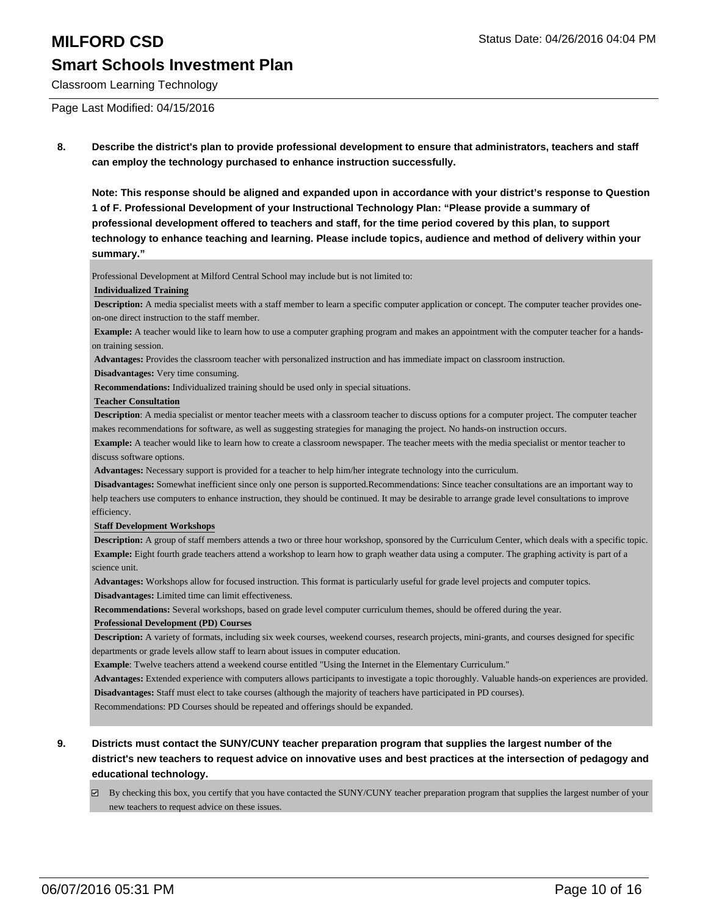Classroom Learning Technology

Page Last Modified: 04/15/2016

**8. Describe the district's plan to provide professional development to ensure that administrators, teachers and staff can employ the technology purchased to enhance instruction successfully.**

**Note: This response should be aligned and expanded upon in accordance with your district's response to Question 1 of F. Professional Development of your Instructional Technology Plan: "Please provide a summary of professional development offered to teachers and staff, for the time period covered by this plan, to support technology to enhance teaching and learning. Please include topics, audience and method of delivery within your summary."**

Professional Development at Milford Central School may include but is not limited to:

### **Individualized Training**

**Description:** A media specialist meets with a staff member to learn a specific computer application or concept. The computer teacher provides oneon-one direct instruction to the staff member.

**Example:** A teacher would like to learn how to use a computer graphing program and makes an appointment with the computer teacher for a handson training session.

**Advantages:** Provides the classroom teacher with personalized instruction and has immediate impact on classroom instruction.

**Disadvantages:** Very time consuming.

**Recommendations:** Individualized training should be used only in special situations.

### **Teacher Consultation**

**Description**: A media specialist or mentor teacher meets with a classroom teacher to discuss options for a computer project. The computer teacher makes recommendations for software, as well as suggesting strategies for managing the project. No hands-on instruction occurs.

**Example:** A teacher would like to learn how to create a classroom newspaper. The teacher meets with the media specialist or mentor teacher to discuss software options.

**Advantages:** Necessary support is provided for a teacher to help him/her integrate technology into the curriculum.

**Disadvantages:** Somewhat inefficient since only one person is supported.Recommendations: Since teacher consultations are an important way to help teachers use computers to enhance instruction, they should be continued. It may be desirable to arrange grade level consultations to improve efficiency.

### **Staff Development Workshops**

**Description:** A group of staff members attends a two or three hour workshop, sponsored by the Curriculum Center, which deals with a specific topic. **Example:** Eight fourth grade teachers attend a workshop to learn how to graph weather data using a computer. The graphing activity is part of a science unit.

**Advantages:** Workshops allow for focused instruction. This format is particularly useful for grade level projects and computer topics.

**Disadvantages:** Limited time can limit effectiveness.

**Recommendations:** Several workshops, based on grade level computer curriculum themes, should be offered during the year.

### **Professional Development (PD) Courses**

**Description:** A variety of formats, including six week courses, weekend courses, research projects, mini-grants, and courses designed for specific departments or grade levels allow staff to learn about issues in computer education.

**Example**: Twelve teachers attend a weekend course entitled "Using the Internet in the Elementary Curriculum."

**Advantages:** Extended experience with computers allows participants to investigate a topic thoroughly. Valuable hands-on experiences are provided. **Disadvantages:** Staff must elect to take courses (although the majority of teachers have participated in PD courses).

Recommendations: PD Courses should be repeated and offerings should be expanded.

### **9. Districts must contact the SUNY/CUNY teacher preparation program that supplies the largest number of the district's new teachers to request advice on innovative uses and best practices at the intersection of pedagogy and educational technology.**

By checking this box, you certify that you have contacted the SUNY/CUNY teacher preparation program that supplies the largest number of your new teachers to request advice on these issues.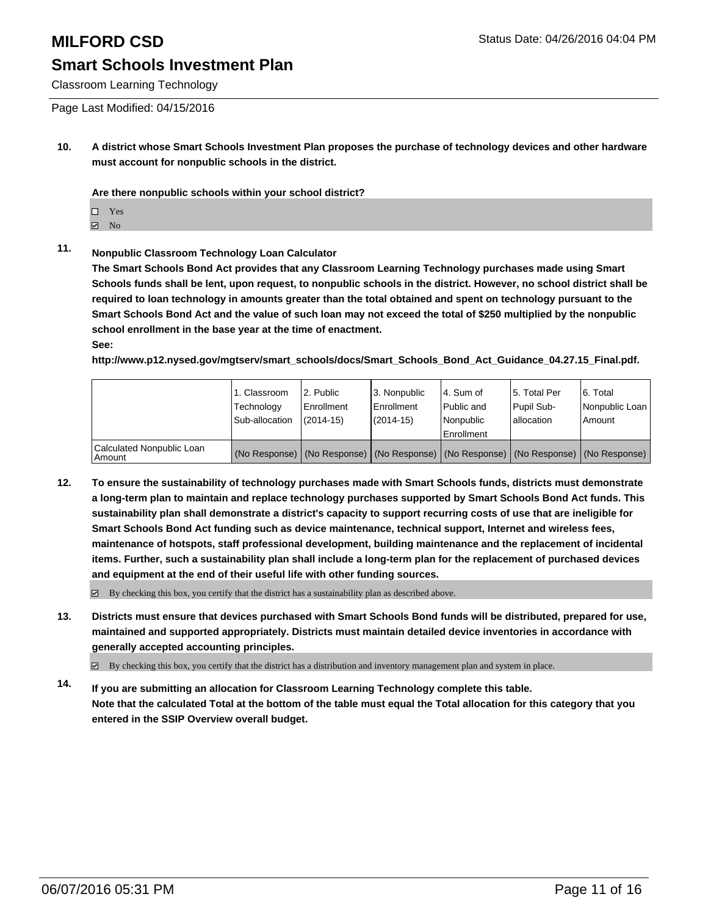Classroom Learning Technology

Page Last Modified: 04/15/2016

**10. A district whose Smart Schools Investment Plan proposes the purchase of technology devices and other hardware must account for nonpublic schools in the district.**

**Are there nonpublic schools within your school district?**

 $\Box$  Yes

**☑** No

## **11. Nonpublic Classroom Technology Loan Calculator**

**The Smart Schools Bond Act provides that any Classroom Learning Technology purchases made using Smart Schools funds shall be lent, upon request, to nonpublic schools in the district. However, no school district shall be required to loan technology in amounts greater than the total obtained and spent on technology pursuant to the Smart Schools Bond Act and the value of such loan may not exceed the total of \$250 multiplied by the nonpublic school enrollment in the base year at the time of enactment. See:**

**http://www.p12.nysed.gov/mgtserv/smart\_schools/docs/Smart\_Schools\_Bond\_Act\_Guidance\_04.27.15\_Final.pdf.**

|                                       | 1. Classroom<br>Technology<br>Sub-allocation | 2. Public<br>Enrollment<br>$(2014 - 15)$ | 3. Nonpublic<br><b>Enrollment</b><br>(2014-15) | l 4. Sum of<br>Public and<br>Nonpublic<br>Enrollment                                          | 15. Total Per<br>Pupil Sub-<br>Iallocation | 6. Total<br>Nonpublic Loan  <br>Amount |
|---------------------------------------|----------------------------------------------|------------------------------------------|------------------------------------------------|-----------------------------------------------------------------------------------------------|--------------------------------------------|----------------------------------------|
| Calculated Nonpublic Loan<br>  Amount |                                              |                                          |                                                | (No Response)   (No Response)   (No Response)   (No Response)   (No Response)   (No Response) |                                            |                                        |

**12. To ensure the sustainability of technology purchases made with Smart Schools funds, districts must demonstrate a long-term plan to maintain and replace technology purchases supported by Smart Schools Bond Act funds. This sustainability plan shall demonstrate a district's capacity to support recurring costs of use that are ineligible for Smart Schools Bond Act funding such as device maintenance, technical support, Internet and wireless fees, maintenance of hotspots, staff professional development, building maintenance and the replacement of incidental items. Further, such a sustainability plan shall include a long-term plan for the replacement of purchased devices and equipment at the end of their useful life with other funding sources.**

 $\boxtimes$  By checking this box, you certify that the district has a sustainability plan as described above.

**13. Districts must ensure that devices purchased with Smart Schools Bond funds will be distributed, prepared for use, maintained and supported appropriately. Districts must maintain detailed device inventories in accordance with generally accepted accounting principles.**

By checking this box, you certify that the district has a distribution and inventory management plan and system in place.

**14. If you are submitting an allocation for Classroom Learning Technology complete this table. Note that the calculated Total at the bottom of the table must equal the Total allocation for this category that you entered in the SSIP Overview overall budget.**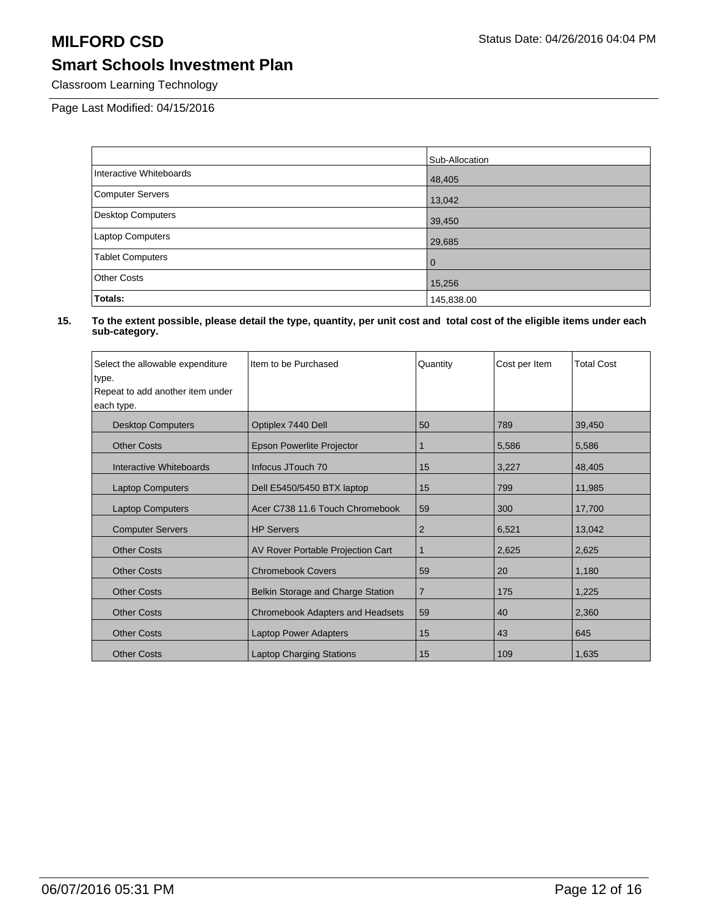Classroom Learning Technology

Page Last Modified: 04/15/2016

|                          | Sub-Allocation |
|--------------------------|----------------|
| Interactive Whiteboards  | 48,405         |
| Computer Servers         | 13,042         |
| <b>Desktop Computers</b> | 39,450         |
| <b>Laptop Computers</b>  | 29,685         |
| <b>Tablet Computers</b>  | $\Omega$       |
| <b>Other Costs</b>       | 15,256         |
| Totals:                  | 145,838.00     |

| Select the allowable expenditure | Item to be Purchased                    | Quantity       | Cost per Item | <b>Total Cost</b> |
|----------------------------------|-----------------------------------------|----------------|---------------|-------------------|
| type.                            |                                         |                |               |                   |
| Repeat to add another item under |                                         |                |               |                   |
| each type.                       |                                         |                |               |                   |
| <b>Desktop Computers</b>         | Optiplex 7440 Dell                      | 50             | 789           | 39,450            |
| <b>Other Costs</b>               | Epson Powerlite Projector               | 1              | 5,586         | 5,586             |
| Interactive Whiteboards          | Infocus JTouch 70                       | 15             | 3,227         | 48,405            |
| <b>Laptop Computers</b>          | Dell E5450/5450 BTX laptop              | 15             | 799           | 11,985            |
| <b>Laptop Computers</b>          | Acer C738 11.6 Touch Chromebook         | 59             | 300           | 17,700            |
| <b>Computer Servers</b>          | <b>HP Servers</b>                       | $\overline{2}$ | 6,521         | 13,042            |
| <b>Other Costs</b>               | AV Rover Portable Projection Cart       | 1              | 2,625         | 2,625             |
| <b>Other Costs</b>               | <b>Chromebook Covers</b>                | 59             | <b>20</b>     | 1,180             |
| <b>Other Costs</b>               | Belkin Storage and Charge Station       | $\overline{7}$ | 175           | 1,225             |
| <b>Other Costs</b>               | <b>Chromebook Adapters and Headsets</b> | 59             | 40            | 2,360             |
| <b>Other Costs</b>               | <b>Laptop Power Adapters</b>            | 15             | 43            | 645               |
| <b>Other Costs</b>               | <b>Laptop Charging Stations</b>         | 15             | 109           | 1,635             |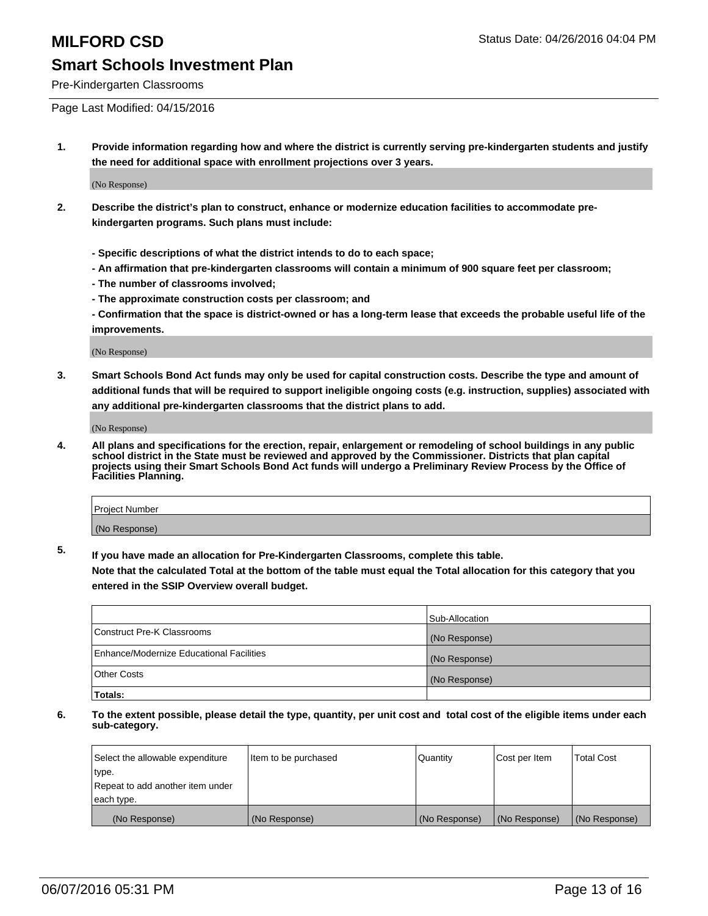Pre-Kindergarten Classrooms

Page Last Modified: 04/15/2016

**1. Provide information regarding how and where the district is currently serving pre-kindergarten students and justify the need for additional space with enrollment projections over 3 years.**

(No Response)

- **2. Describe the district's plan to construct, enhance or modernize education facilities to accommodate prekindergarten programs. Such plans must include:**
	- **Specific descriptions of what the district intends to do to each space;**
	- **An affirmation that pre-kindergarten classrooms will contain a minimum of 900 square feet per classroom;**
	- **The number of classrooms involved;**
	- **The approximate construction costs per classroom; and**
	- **Confirmation that the space is district-owned or has a long-term lease that exceeds the probable useful life of the improvements.**

(No Response)

**3. Smart Schools Bond Act funds may only be used for capital construction costs. Describe the type and amount of additional funds that will be required to support ineligible ongoing costs (e.g. instruction, supplies) associated with any additional pre-kindergarten classrooms that the district plans to add.**

(No Response)

**4. All plans and specifications for the erection, repair, enlargement or remodeling of school buildings in any public school district in the State must be reviewed and approved by the Commissioner. Districts that plan capital projects using their Smart Schools Bond Act funds will undergo a Preliminary Review Process by the Office of Facilities Planning.**

| Project Number |  |
|----------------|--|
| (No Response)  |  |

**5. If you have made an allocation for Pre-Kindergarten Classrooms, complete this table.**

**Note that the calculated Total at the bottom of the table must equal the Total allocation for this category that you entered in the SSIP Overview overall budget.**

|                                          | Sub-Allocation |
|------------------------------------------|----------------|
| Construct Pre-K Classrooms               | (No Response)  |
| Enhance/Modernize Educational Facilities | (No Response)  |
| Other Costs                              | (No Response)  |
| Totals:                                  |                |

| Select the allowable expenditure | Item to be purchased | Quantity      | Cost per Item | <b>Total Cost</b> |
|----------------------------------|----------------------|---------------|---------------|-------------------|
| type.                            |                      |               |               |                   |
| Repeat to add another item under |                      |               |               |                   |
| each type.                       |                      |               |               |                   |
| (No Response)                    | (No Response)        | (No Response) | (No Response) | (No Response)     |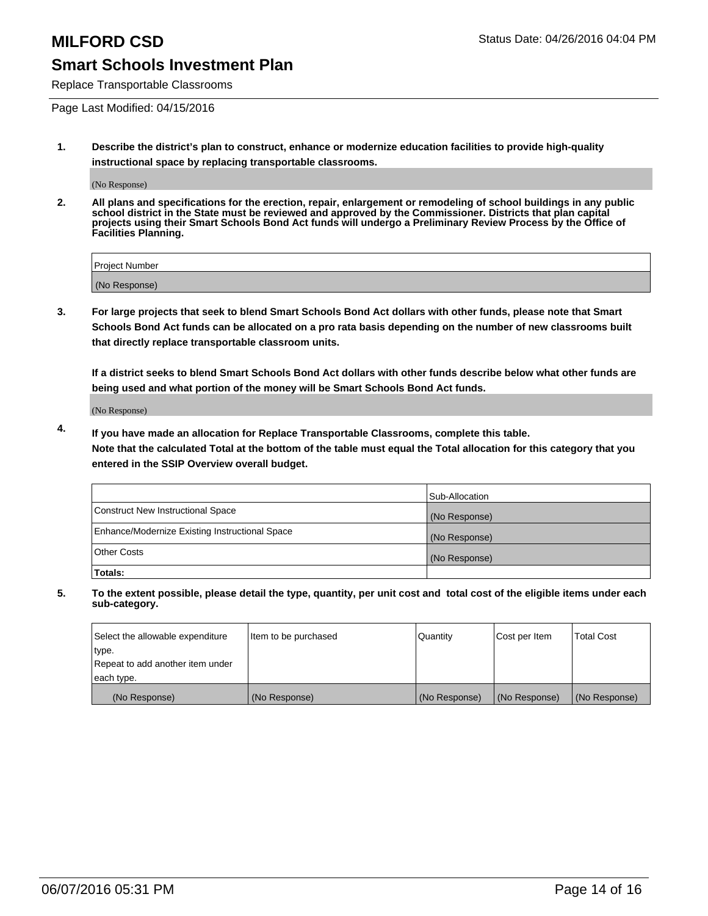Replace Transportable Classrooms

Page Last Modified: 04/15/2016

**1. Describe the district's plan to construct, enhance or modernize education facilities to provide high-quality instructional space by replacing transportable classrooms.**

(No Response)

**2. All plans and specifications for the erection, repair, enlargement or remodeling of school buildings in any public school district in the State must be reviewed and approved by the Commissioner. Districts that plan capital projects using their Smart Schools Bond Act funds will undergo a Preliminary Review Process by the Office of Facilities Planning.**

| <b>Project Number</b> |  |
|-----------------------|--|
| (No Response)         |  |

**3. For large projects that seek to blend Smart Schools Bond Act dollars with other funds, please note that Smart Schools Bond Act funds can be allocated on a pro rata basis depending on the number of new classrooms built that directly replace transportable classroom units.**

**If a district seeks to blend Smart Schools Bond Act dollars with other funds describe below what other funds are being used and what portion of the money will be Smart Schools Bond Act funds.**

(No Response)

**4. If you have made an allocation for Replace Transportable Classrooms, complete this table. Note that the calculated Total at the bottom of the table must equal the Total allocation for this category that you entered in the SSIP Overview overall budget.**

|                                                | Sub-Allocation |
|------------------------------------------------|----------------|
| Construct New Instructional Space              | (No Response)  |
| Enhance/Modernize Existing Instructional Space | (No Response)  |
| <b>Other Costs</b>                             | (No Response)  |
| Totals:                                        |                |

| Select the allowable expenditure | Item to be purchased | <b>Quantity</b> | Cost per Item | <b>Total Cost</b> |
|----------------------------------|----------------------|-----------------|---------------|-------------------|
| type.                            |                      |                 |               |                   |
| Repeat to add another item under |                      |                 |               |                   |
| each type.                       |                      |                 |               |                   |
| (No Response)                    | (No Response)        | (No Response)   | (No Response) | (No Response)     |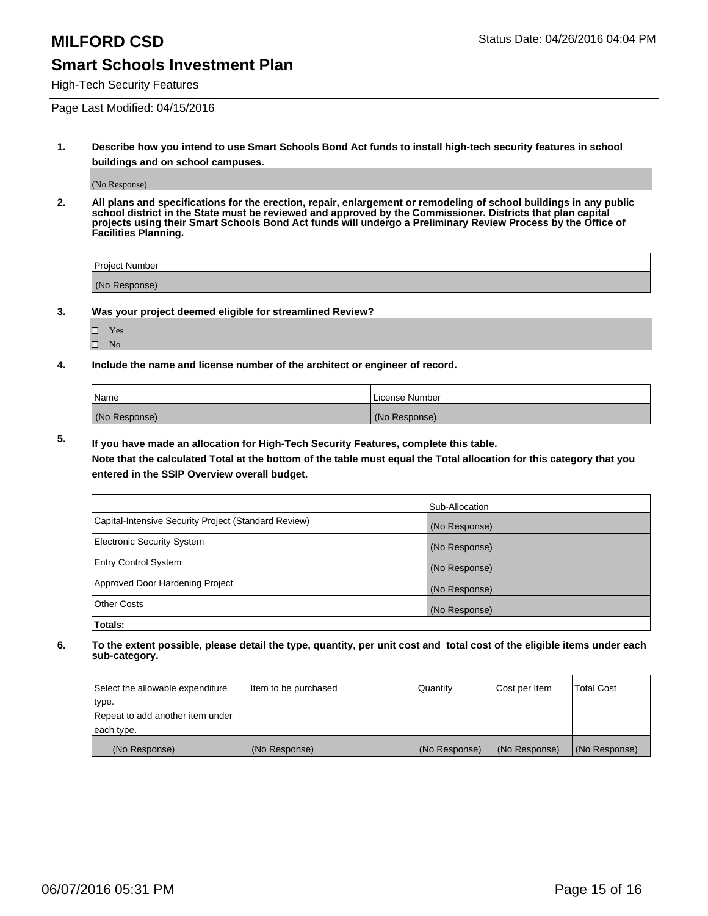High-Tech Security Features

Page Last Modified: 04/15/2016

**1. Describe how you intend to use Smart Schools Bond Act funds to install high-tech security features in school buildings and on school campuses.**

(No Response)

**2. All plans and specifications for the erection, repair, enlargement or remodeling of school buildings in any public school district in the State must be reviewed and approved by the Commissioner. Districts that plan capital projects using their Smart Schools Bond Act funds will undergo a Preliminary Review Process by the Office of Facilities Planning.** 

| Project Number |  |
|----------------|--|
| (No Response)  |  |

**3. Was your project deemed eligible for streamlined Review?**

□ Yes  $\hfill \square$  <br> No

**4. Include the name and license number of the architect or engineer of record.**

| Name          | License Number |
|---------------|----------------|
| (No Response) | (No Response)  |

**5. If you have made an allocation for High-Tech Security Features, complete this table.**

**Note that the calculated Total at the bottom of the table must equal the Total allocation for this category that you entered in the SSIP Overview overall budget.**

|                                                      | Sub-Allocation |
|------------------------------------------------------|----------------|
| Capital-Intensive Security Project (Standard Review) | (No Response)  |
| <b>Electronic Security System</b>                    | (No Response)  |
| <b>Entry Control System</b>                          | (No Response)  |
| Approved Door Hardening Project                      | (No Response)  |
| <b>Other Costs</b>                                   | (No Response)  |
| Totals:                                              |                |

| Select the allowable expenditure | Item to be purchased | Quantity      | Cost per Item | <b>Total Cost</b> |
|----------------------------------|----------------------|---------------|---------------|-------------------|
| type.                            |                      |               |               |                   |
| Repeat to add another item under |                      |               |               |                   |
| each type.                       |                      |               |               |                   |
| (No Response)                    | (No Response)        | (No Response) | (No Response) | (No Response)     |